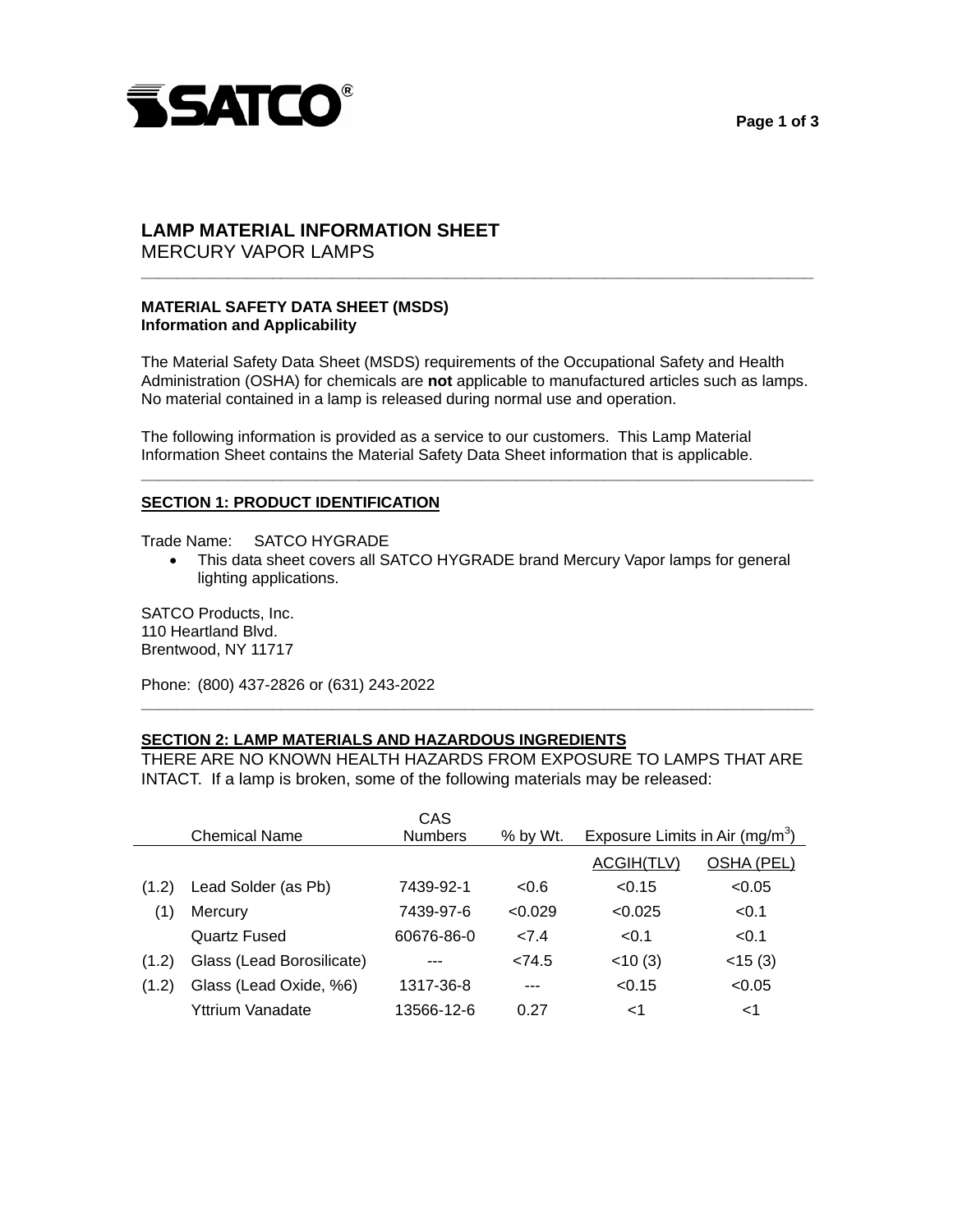



### **LAMP MATERIAL INFORMATION SHEET**  MERCURY VAPOR LAMPS

# **MATERIAL SAFETY DATA SHEET (MSDS) Information and Applicability**

 The Material Safety Data Sheet (MSDS) requirements of the Occupational Safety and Health Administration (OSHA) for chemicals are **not** applicable to manufactured articles such as lamps. No material contained in a lamp is released during normal use and operation.

**\_\_\_\_\_\_\_\_\_\_\_\_\_\_\_\_\_\_\_\_\_\_\_\_\_\_\_\_\_\_\_\_\_\_\_\_\_\_\_\_\_\_\_\_\_\_\_\_\_\_\_\_\_\_\_\_\_\_\_\_\_\_\_\_\_\_\_\_\_\_\_\_\_\_\_\_\_** 

 The following information is provided as a service to our customers. This Lamp Material Information Sheet contains the Material Safety Data Sheet information that is applicable.

# **SECTION 1: PRODUCT IDENTIFICATION**

Trade Name: SATCO HYGRADE

• This data sheet covers all SATCO HYGRADE brand Mercury Vapor lamps for general lighting applications.

**\_\_\_\_\_\_\_\_\_\_\_\_\_\_\_\_\_\_\_\_\_\_\_\_\_\_\_\_\_\_\_\_\_\_\_\_\_\_\_\_\_\_\_\_\_\_\_\_\_\_\_\_\_\_\_\_\_\_\_\_\_\_\_\_\_\_\_\_\_\_\_\_\_\_\_\_\_** 

 SATCO Products, Inc. 110 Heartland Blvd. Brentwood, NY 11717

Phone: (800) 437-2826 or (631) 243-2022

# **SECTION 2: LAMP MATERIALS AND HAZARDOUS INGREDIENTS**

 THERE ARE NO KNOWN HEALTH HAZARDS FROM EXPOSURE TO LAMPS THAT ARE INTACT. If a lamp is broken, some of the following materials may be released:

**\_\_\_\_\_\_\_\_\_\_\_\_\_\_\_\_\_\_\_\_\_\_\_\_\_\_\_\_\_\_\_\_\_\_\_\_\_\_\_\_\_\_\_\_\_\_\_\_\_\_\_\_\_\_\_\_\_\_\_\_\_\_\_\_\_\_\_\_\_\_\_\_\_\_\_\_\_** 

|       | <b>Chemical Name</b>      | CAS<br><b>Numbers</b> | % by Wt. | Exposure Limits in Air (mg/m <sup>3</sup> ) |              |
|-------|---------------------------|-----------------------|----------|---------------------------------------------|--------------|
|       |                           |                       |          |                                             |              |
|       |                           |                       |          | ACGIH(TLV)                                  | OSHA (PEL)   |
| (1.2) | Lead Solder (as Pb)       | 7439-92-1             | < 0.6    | < 0.15                                      | < 0.05       |
| (1)   | Mercury                   | 7439-97-6             | < 0.029  | < 0.025                                     | < 0.1        |
|       | Quartz Fused              | 60676-86-0            | 27.4     | < 0.1                                       | < 0.1        |
| (1.2) | Glass (Lead Borosilicate) |                       | < 74.5   | $<$ 10 $(3)$                                | $<$ 15 $(3)$ |
| (1.2) | Glass (Lead Oxide, %6)    | 1317-36-8             | $---$    | < 0.15                                      | < 0.05       |
|       | Yttrium Vanadate          | 13566-12-6            | 0.27     | ا>                                          | ا>           |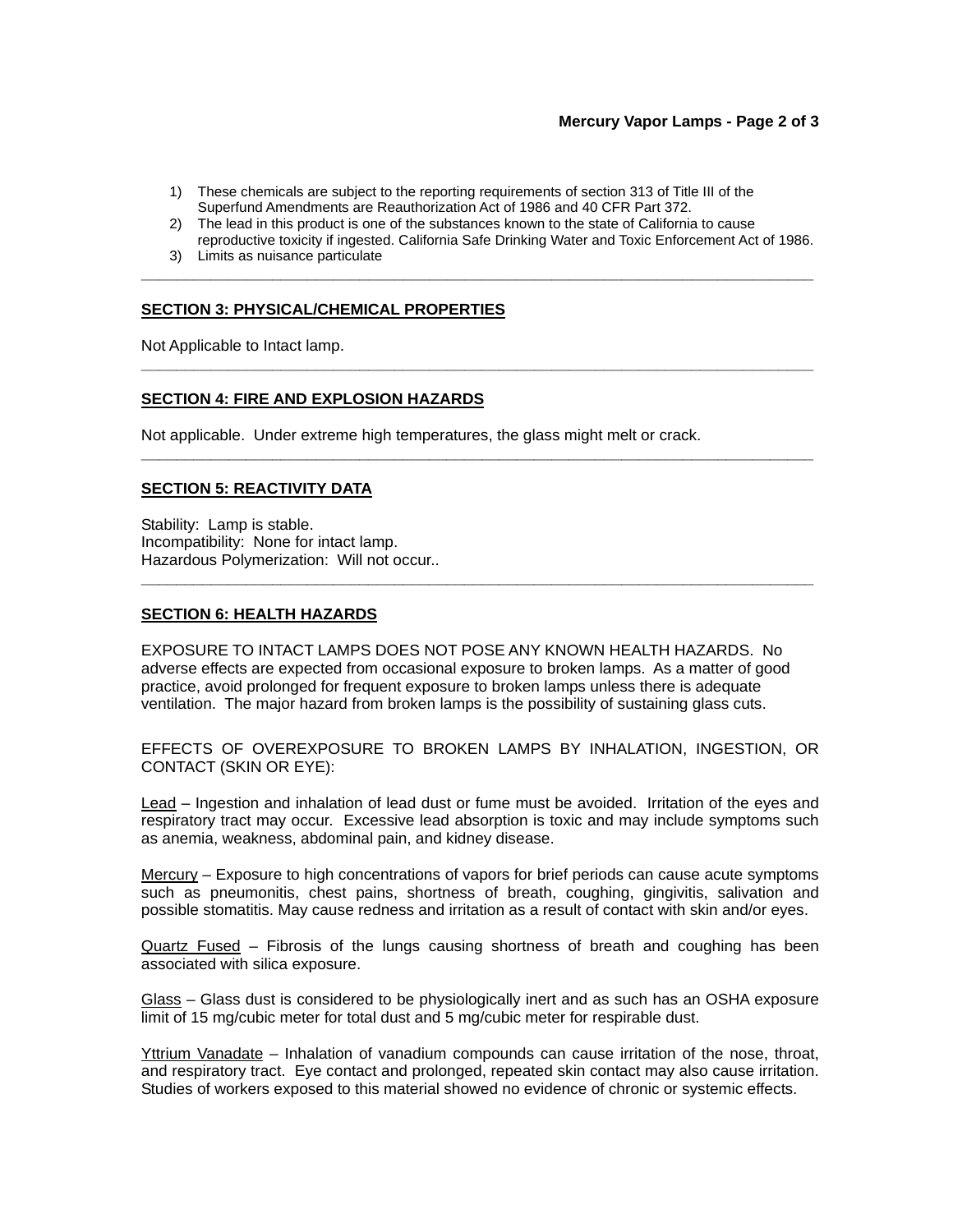- 1) These chemicals are subject to the reporting requirements of section 313 of Title III of the Superfund Amendments are Reauthorization Act of 1986 and 40 CFR Part 372.
- 2) The lead in this product is one of the substances known to the state of California to cause reproductive toxicity if ingested. California Safe Drinking Water and Toxic Enforcement Act of 1986.

**\_\_\_\_\_\_\_\_\_\_\_\_\_\_\_\_\_\_\_\_\_\_\_\_\_\_\_\_\_\_\_\_\_\_\_\_\_\_\_\_\_\_\_\_\_\_\_\_\_\_\_\_\_\_\_\_\_\_\_\_\_\_\_\_\_\_\_\_\_\_\_\_\_\_\_\_\_** 

**\_\_\_\_\_\_\_\_\_\_\_\_\_\_\_\_\_\_\_\_\_\_\_\_\_\_\_\_\_\_\_\_\_\_\_\_\_\_\_\_\_\_\_\_\_\_\_\_\_\_\_\_\_\_\_\_\_\_\_\_\_\_\_\_\_\_\_\_\_\_\_\_\_\_\_\_\_** 

**\_\_\_\_\_\_\_\_\_\_\_\_\_\_\_\_\_\_\_\_\_\_\_\_\_\_\_\_\_\_\_\_\_\_\_\_\_\_\_\_\_\_\_\_\_\_\_\_\_\_\_\_\_\_\_\_\_\_\_\_\_\_\_\_\_\_\_\_\_\_\_\_\_\_\_\_\_** 

**\_\_\_\_\_\_\_\_\_\_\_\_\_\_\_\_\_\_\_\_\_\_\_\_\_\_\_\_\_\_\_\_\_\_\_\_\_\_\_\_\_\_\_\_\_\_\_\_\_\_\_\_\_\_\_\_\_\_\_\_\_\_\_\_\_\_\_\_\_\_\_\_\_\_\_\_\_** 

3) Limits as nuisance particulate

## **SECTION 3: PHYSICAL/CHEMICAL PROPERTIES**

Not Applicable to Intact lamp.

### **SECTION 4: FIRE AND EXPLOSION HAZARDS**

Not applicable. Under extreme high temperatures, the glass might melt or crack.

### **SECTION 5: REACTIVITY DATA**

 Stability: Lamp is stable. Incompatibility: None for intact lamp. Hazardous Polymerization: Will not occur..

#### **SECTION 6: HEALTH HAZARDS**

 EXPOSURE TO INTACT LAMPS DOES NOT POSE ANY KNOWN HEALTH HAZARDS. No adverse effects are expected from occasional exposure to broken lamps. As a matter of good practice, avoid prolonged for frequent exposure to broken lamps unless there is adequate ventilation. The major hazard from broken lamps is the possibility of sustaining glass cuts.

 EFFECTS OF OVEREXPOSURE TO BROKEN LAMPS BY INHALATION, INGESTION, OR CONTACT (SKIN OR EYE):

Lead – Ingestion and inhalation of lead dust or fume must be avoided. Irritation of the eyes and respiratory tract may occur. Excessive lead absorption is toxic and may include symptoms such as anemia, weakness, abdominal pain, and kidney disease.

 Mercury – Exposure to high concentrations of vapors for brief periods can cause acute symptoms such as pneumonitis, chest pains, shortness of breath, coughing, gingivitis, salivation and possible stomatitis. May cause redness and irritation as a result of contact with skin and/or eyes.

Quartz Fused – Fibrosis of the lungs causing shortness of breath and coughing has been associated with silica exposure.

 Glass – Glass dust is considered to be physiologically inert and as such has an OSHA exposure limit of 15 mg/cubic meter for total dust and 5 mg/cubic meter for respirable dust.

Yttrium Vanadate – Inhalation of vanadium compounds can cause irritation of the nose, throat, and respiratory tract. Eye contact and prolonged, repeated skin contact may also cause irritation. Studies of workers exposed to this material showed no evidence of chronic or systemic effects.